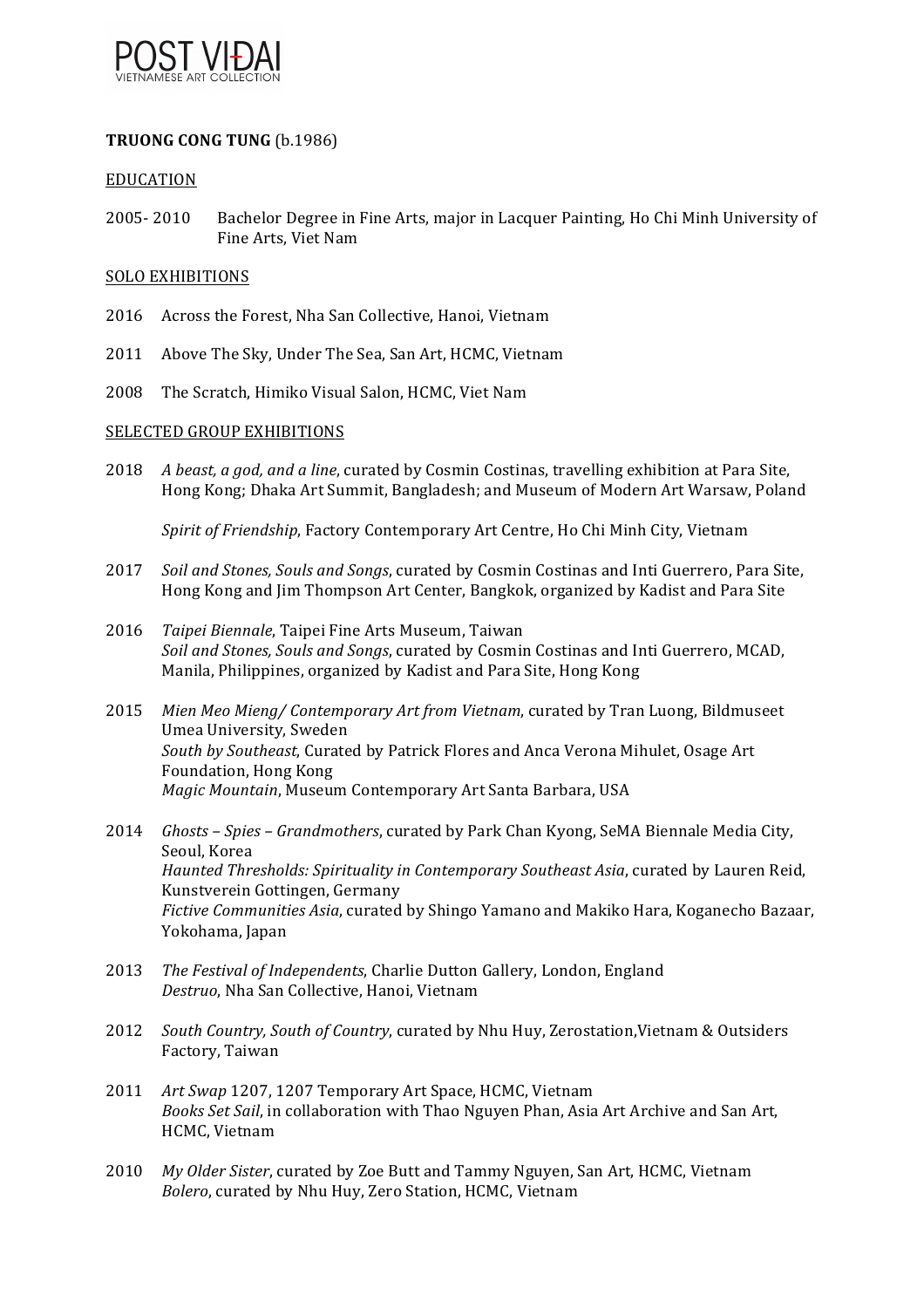

# **TRUONG CONG TUNG** (b.1986)

### EDUCATION

2005- 2010 Bachelor Degree in Fine Arts, major in Lacquer Painting, Ho Chi Minh University of Fine Arts, Viet Nam

### SOLO EXHIBITIONS

- 2016 Across the Forest, Nha San Collective, Hanoi, Vietnam
- 2011 Above The Sky, Under The Sea, San Art, HCMC, Vietnam
- 2008 The Scratch, Himiko Visual Salon, HCMC, Viet Nam

### SELECTED GROUP EXHIBITIONS

2018 *A beast, a god, and a line,* curated by Cosmin Costinas, travelling exhibition at Para Site, Hong Kong; Dhaka Art Summit, Bangladesh; and Museum of Modern Art Warsaw, Poland

*Spirit of Friendship*, Factory Contemporary Art Centre, Ho Chi Minh City, Vietnam

- 2017 *Soil and Stones, Souls and Songs*, curated by Cosmin Costinas and Inti Guerrero, Para Site, Hong Kong and Jim Thompson Art Center, Bangkok, organized by Kadist and Para Site
- 2016 *Taipei Biennale*, Taipei Fine Arts Museum, Taiwan *Soil and Stones, Souls and Songs,* curated by Cosmin Costinas and Inti Guerrero, MCAD, Manila, Philippines, organized by Kadist and Para Site, Hong Kong
- 2015 *Mien Meo Mieng/ Contemporary Art from Vietnam*, curated by Tran Luong, Bildmuseet Umea University, Sweden *South by Southeast*, Curated by Patrick Flores and Anca Verona Mihulet, Osage Art Foundation, Hong Kong *Magic Mountain, Museum Contemporary Art Santa Barbara, USA*
- 2014 *Ghosts Spies Grandmothers*, curated by Park Chan Kyong, SeMA Biennale Media City, Seoul, Korea *Haunted Thresholds: Spirituality in Contemporary Southeast Asia, curated by Lauren Reid,* Kunstverein Gottingen, Germany *Fictive Communities Asia*, curated by Shingo Yamano and Makiko Hara, Koganecho Bazaar, Yokohama, Japan
- 2013 *The Festival of Independents*, Charlie Dutton Gallery, London, England *Destruo*, Nha San Collective, Hanoi, Vietnam
- 2012 *South Country, South of Country, curated by Nhu Huy, Zerostation, Vietnam & Outsiders* Factory, Taiwan
- 2011 Art Swap 1207, 1207 Temporary Art Space, HCMC, Vietnam *Books Set Sail*, in collaboration with Thao Nguyen Phan, Asia Art Archive and San Art, HCMC, Vietnam
- 2010 *My Older Sister*, curated by Zoe Butt and Tammy Nguyen, San Art, HCMC, Vietnam *Bolero*, curated by Nhu Huy, Zero Station, HCMC, Vietnam